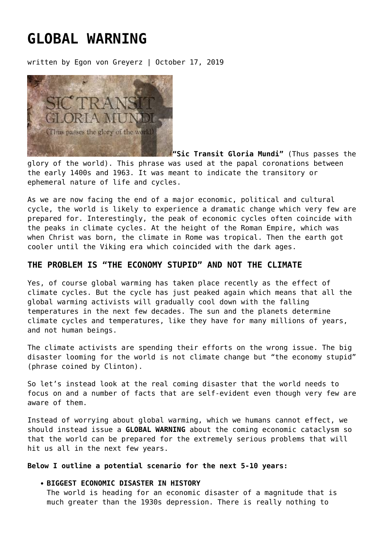# **[GLOBAL WARNING](https://goldswitzerland.com/global-warning/)**

written by Egon von Greyerz | October 17, 2019



**"Sic Transit Gloria Mundi"** (Thus passes the glory of the world). This phrase was used at the papal coronations between the early 1400s and 1963. It was meant to indicate the transitory or ephemeral nature of life and cycles.

As we are now facing the end of a major economic, political and cultural cycle, the world is likely to experience a dramatic change which very few are prepared for. Interestingly, the peak of economic cycles often coincide with the peaks in climate cycles. At the height of the Roman Empire, which was when Christ was born, the climate in Rome was tropical. Then the earth got cooler until the Viking era which coincided with the dark ages.

# **THE PROBLEM IS "THE ECONOMY STUPID" AND NOT THE CLIMATE**

Yes, of course global warming has taken place recently as the effect of climate cycles. But the cycle has just peaked again which means that all the global warming activists will gradually cool down with the falling temperatures in the next few decades. The sun and the planets determine climate cycles and temperatures, like they have for many millions of years, and not human beings.

The climate activists are spending their efforts on the wrong issue. The big disaster looming for the world is not climate change but "the economy stupid" (phrase coined by Clinton).

So let's instead look at the real coming disaster that the world needs to focus on and a number of facts that are self-evident even though very few are aware of them.

Instead of worrying about global warming, which we humans cannot effect, we should instead issue a **GLOBAL WARNING** about the coming economic cataclysm so that the world can be prepared for the extremely serious problems that will hit us all in the next few years.

#### **Below I outline a potential scenario for the next 5-10 years:**

#### **BIGGEST ECONOMIC DISASTER IN HISTORY**

The world is heading for an economic disaster of a magnitude that is much greater than the 1930s depression. There is really nothing to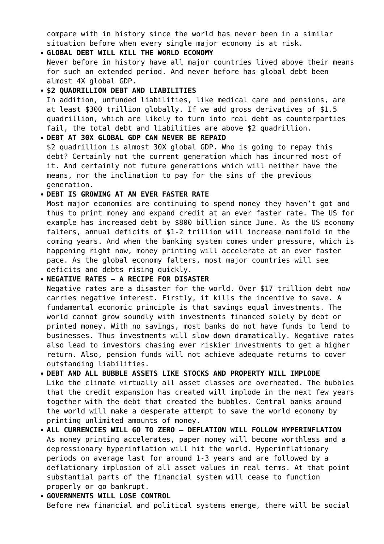compare with in history since the world has never been in a similar situation before when every single major economy is at risk.

- **GLOBAL DEBT WILL KILL THE WORLD ECONOMY** Never before in history have all major countries lived above their means for such an extended period. And never before has global debt been almost 4X global GDP.
- **\$2 QUADRILLION DEBT AND LIABILITIES** In addition, unfunded liabilities, like medical care and pensions, are at least \$300 trillion globally. If we add gross derivatives of \$1.5 quadrillion, which are likely to turn into real debt as counterparties fail, the total debt and liabilities are above \$2 quadrillion.
- **DEBT AT 30X GLOBAL GDP CAN NEVER BE REPAID** \$2 quadrillion is almost 30X global GDP. Who is going to repay this debt? Certainly not the current generation which has incurred most of it. And certainly not future generations which will neither have the means, nor the inclination to pay for the sins of the previous generation.

## **DEBT IS GROWING AT AN EVER FASTER RATE**

Most major economies are continuing to spend money they haven't got and thus to print money and expand credit at an ever faster rate. The US for example has increased debt by \$800 billion since June. As the US economy falters, annual deficits of \$1-2 trillion will increase manifold in the coming years. And when the banking system comes under pressure, which is happening right now, money printing will accelerate at an ever faster pace. As the global economy falters, most major countries will see deficits and debts rising quickly.

## **NEGATIVE RATES – A RECIPE FOR DISASTER**

Negative rates are a disaster for the world. Over \$17 trillion debt now carries negative interest. Firstly, it kills the incentive to save. A fundamental economic principle is that savings equal investments. The world cannot grow soundly with investments financed solely by debt or printed money. With no savings, most banks do not have funds to lend to businesses. Thus investments will slow down dramatically. Negative rates also lead to investors chasing ever riskier investments to get a higher return. Also, pension funds will not achieve adequate returns to cover outstanding liabilities.

- **DEBT AND ALL BUBBLE ASSETS LIKE STOCKS AND PROPERTY WILL IMPLODE** Like the climate virtually all asset classes are overheated. The bubbles that the credit expansion has created will implode in the next few years together with the debt that created the bubbles. Central banks around the world will make a desperate attempt to save the world economy by printing unlimited amounts of money.
- **ALL CURRENCIES WILL GO TO ZERO DEFLATION WILL FOLLOW HYPERINFLATION** As money printing accelerates, paper money will become worthless and a depressionary hyperinflation will hit the world. Hyperinflationary periods on average last for around 1-3 years and are followed by a deflationary implosion of all asset values in real terms. At that point substantial parts of the financial system will cease to function properly or go bankrupt.
- **GOVERNMENTS WILL LOSE CONTROL** Before new financial and political systems emerge, there will be social